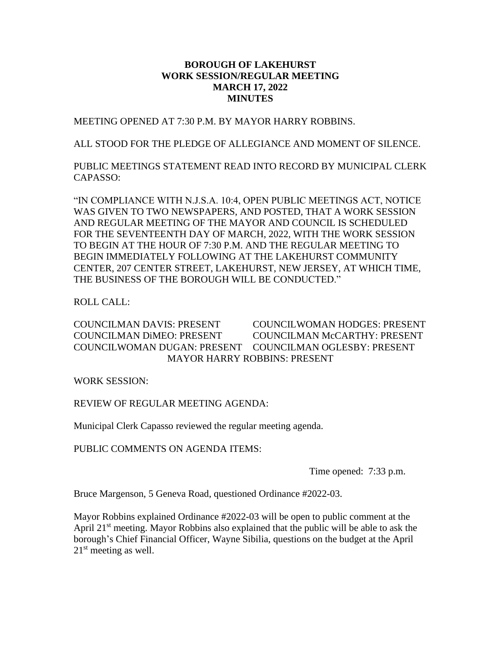# **BOROUGH OF LAKEHURST WORK SESSION/REGULAR MEETING MARCH 17, 2022 MINUTES**

MEETING OPENED AT 7:30 P.M. BY MAYOR HARRY ROBBINS.

ALL STOOD FOR THE PLEDGE OF ALLEGIANCE AND MOMENT OF SILENCE.

PUBLIC MEETINGS STATEMENT READ INTO RECORD BY MUNICIPAL CLERK CAPASSO:

"IN COMPLIANCE WITH N.J.S.A. 10:4, OPEN PUBLIC MEETINGS ACT, NOTICE WAS GIVEN TO TWO NEWSPAPERS, AND POSTED, THAT A WORK SESSION AND REGULAR MEETING OF THE MAYOR AND COUNCIL IS SCHEDULED FOR THE SEVENTEENTH DAY OF MARCH, 2022, WITH THE WORK SESSION TO BEGIN AT THE HOUR OF 7:30 P.M. AND THE REGULAR MEETING TO BEGIN IMMEDIATELY FOLLOWING AT THE LAKEHURST COMMUNITY CENTER, 207 CENTER STREET, LAKEHURST, NEW JERSEY, AT WHICH TIME, THE BUSINESS OF THE BOROUGH WILL BE CONDUCTED."

ROLL CALL:

COUNCILMAN DAVIS: PRESENT COUNCILWOMAN HODGES: PRESENT COUNCILMAN DiMEO: PRESENT COUNCILMAN McCARTHY: PRESENT COUNCILWOMAN DUGAN: PRESENT COUNCILMAN OGLESBY: PRESENT MAYOR HARRY ROBBINS: PRESENT

WORK SESSION:

REVIEW OF REGULAR MEETING AGENDA:

Municipal Clerk Capasso reviewed the regular meeting agenda.

PUBLIC COMMENTS ON AGENDA ITEMS:

Time opened: 7:33 p.m.

Bruce Margenson, 5 Geneva Road, questioned Ordinance #2022-03.

Mayor Robbins explained Ordinance #2022-03 will be open to public comment at the April 21<sup>st</sup> meeting. Mayor Robbins also explained that the public will be able to ask the borough's Chief Financial Officer, Wayne Sibilia, questions on the budget at the April 21<sup>st</sup> meeting as well.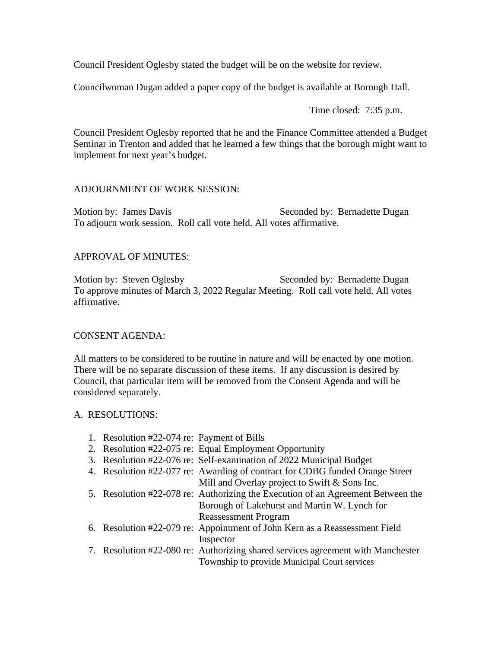Council President Oglesby stated the budget will be on the website for review.

Councilwoman Dugan added a paper copy of the budget is available at Borough Hall.

Time closed: 7:35 p.m.

Council President Oglesby reported that he and the Finance Committee attended a Budget Seminar in Trenton and added that he learned a few things that the borough might want to implement for next year's budget.

# ADJOURNMENT OF WORK SESSION:

Motion by: James Davis Seconded by: Bernadette Dugan To adjourn work session. Roll call vote held. All votes affirmative.

# APPROVAL OF MINUTES:

Motion by: Steven Oglesby Seconded by: Bernadette Dugan To approve minutes of March 3, 2022 Regular Meeting. Roll call vote held. All votes affirmative.

## CONSENT AGENDA:

All matters to be considered to be routine in nature and will be enacted by one motion. There will be no separate discussion of these items. If any discussion is desired by Council, that particular item will be removed from the Consent Agenda and will be considered separately.

## A. RESOLUTIONS:

|  | 1. Resolution #22-074 re: Payment of Bills |                                                                                 |
|--|--------------------------------------------|---------------------------------------------------------------------------------|
|  |                                            | 2. Resolution #22-075 re: Equal Employment Opportunity                          |
|  |                                            | 3. Resolution #22-076 re: Self-examination of 2022 Municipal Budget             |
|  |                                            | 4. Resolution #22-077 re: Awarding of contract for CDBG funded Orange Street    |
|  |                                            | Mill and Overlay project to Swift & Sons Inc.                                   |
|  |                                            | 5. Resolution #22-078 re: Authorizing the Execution of an Agreement Between the |
|  |                                            | Borough of Lakehurst and Martin W. Lynch for                                    |
|  |                                            | <b>Reassessment Program</b>                                                     |
|  |                                            | 6. Resolution #22-079 re: Appointment of John Kern as a Reassessment Field      |
|  |                                            | Inspector                                                                       |
|  |                                            | 7. Resolution #22-080 re: Authorizing shared services agreement with Manchester |
|  |                                            | Township to provide Municipal Court services                                    |
|  |                                            |                                                                                 |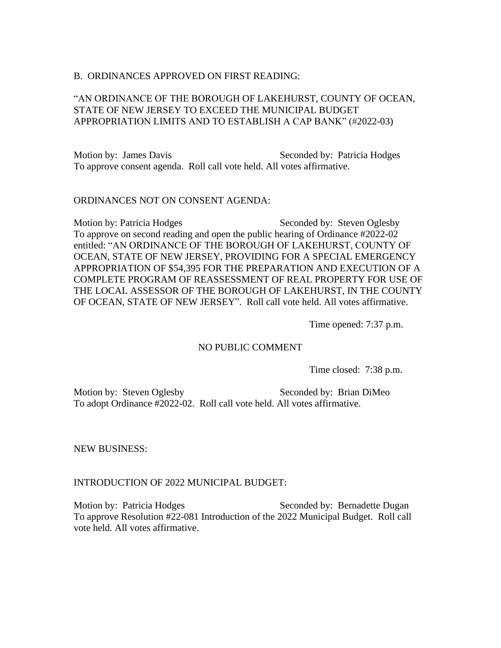### B. ORDINANCES APPROVED ON FIRST READING:

# "AN ORDINANCE OF THE BOROUGH OF LAKEHURST, COUNTY OF OCEAN, STATE OF NEW JERSEY TO EXCEED THE MUNICIPAL BUDGET APPROPRIATION LIMITS AND TO ESTABLISH A CAP BANK" (#2022-03)

Motion by: James Davis Seconded by: Patricia Hodges To approve consent agenda. Roll call vote held. All votes affirmative.

#### ORDINANCES NOT ON CONSENT AGENDA:

Motion by: Patricia Hodges Seconded by: Steven Oglesby To approve on second reading and open the public hearing of Ordinance #2022-02 entitled: "AN ORDINANCE OF THE BOROUGH OF LAKEHURST, COUNTY OF OCEAN, STATE OF NEW JERSEY, PROVIDING FOR A SPECIAL EMERGENCY APPROPRIATION OF \$54,395 FOR THE PREPARATION AND EXECUTION OF A COMPLETE PROGRAM OF REASSESSMENT OF REAL PROPERTY FOR USE OF THE LOCAL ASSESSOR OF THE BOROUGH OF LAKEHURST, IN THE COUNTY OF OCEAN, STATE OF NEW JERSEY". Roll call vote held. All votes affirmative.

Time opened: 7:37 p.m.

## NO PUBLIC COMMENT

Time closed: 7:38 p.m.

Motion by: Steven Oglesby Seconded by: Brian DiMeo To adopt Ordinance #2022-02. Roll call vote held. All votes affirmative.

NEW BUSINESS:

## INTRODUCTION OF 2022 MUNICIPAL BUDGET:

Motion by: Patricia Hodges Seconded by: Bernadette Dugan To approve Resolution #22-081 Introduction of the 2022 Municipal Budget. Roll call vote held. All votes affirmative.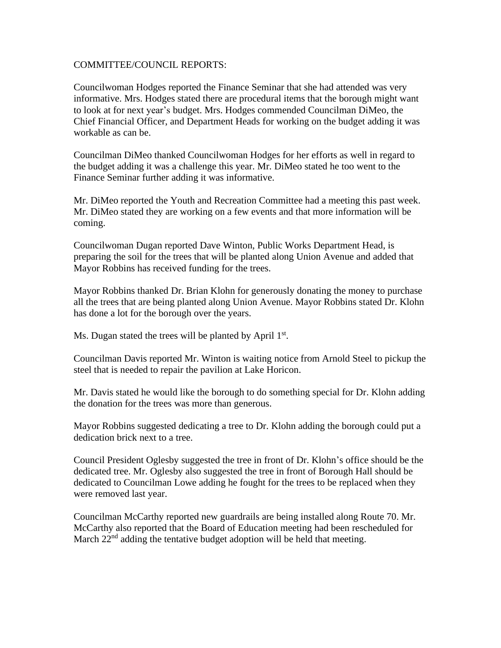## COMMITTEE/COUNCIL REPORTS:

Councilwoman Hodges reported the Finance Seminar that she had attended was very informative. Mrs. Hodges stated there are procedural items that the borough might want to look at for next year's budget. Mrs. Hodges commended Councilman DiMeo, the Chief Financial Officer, and Department Heads for working on the budget adding it was workable as can be.

Councilman DiMeo thanked Councilwoman Hodges for her efforts as well in regard to the budget adding it was a challenge this year. Mr. DiMeo stated he too went to the Finance Seminar further adding it was informative.

Mr. DiMeo reported the Youth and Recreation Committee had a meeting this past week. Mr. DiMeo stated they are working on a few events and that more information will be coming.

Councilwoman Dugan reported Dave Winton, Public Works Department Head, is preparing the soil for the trees that will be planted along Union Avenue and added that Mayor Robbins has received funding for the trees.

Mayor Robbins thanked Dr. Brian Klohn for generously donating the money to purchase all the trees that are being planted along Union Avenue. Mayor Robbins stated Dr. Klohn has done a lot for the borough over the years.

Ms. Dugan stated the trees will be planted by April 1st.

Councilman Davis reported Mr. Winton is waiting notice from Arnold Steel to pickup the steel that is needed to repair the pavilion at Lake Horicon.

Mr. Davis stated he would like the borough to do something special for Dr. Klohn adding the donation for the trees was more than generous.

Mayor Robbins suggested dedicating a tree to Dr. Klohn adding the borough could put a dedication brick next to a tree.

Council President Oglesby suggested the tree in front of Dr. Klohn's office should be the dedicated tree. Mr. Oglesby also suggested the tree in front of Borough Hall should be dedicated to Councilman Lowe adding he fought for the trees to be replaced when they were removed last year.

Councilman McCarthy reported new guardrails are being installed along Route 70. Mr. McCarthy also reported that the Board of Education meeting had been rescheduled for March  $22<sup>nd</sup>$  adding the tentative budget adoption will be held that meeting.